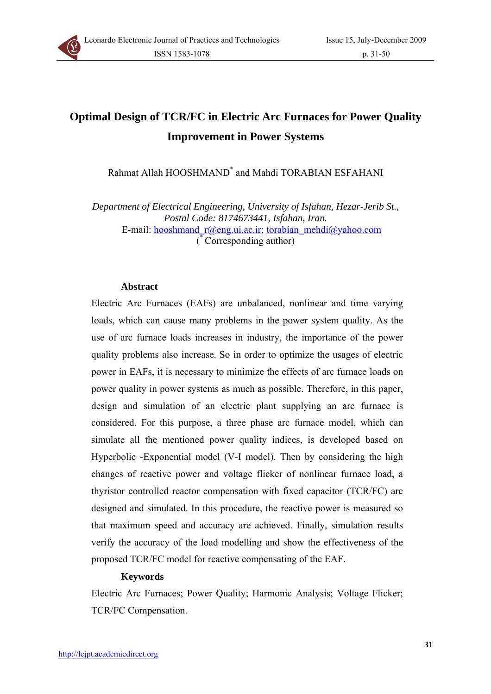

# **Optimal Design of TCR/FC in Electric Arc Furnaces for Power Quality Improvement in Power Systems**

Rahmat Allah HOOSHMAND\* and Mahdi TORABIAN ESFAHANI

*Department of Electrical Engineering, University of Isfahan, Hezar-Jerib St., Postal Code: 8174673441, Isfahan, Iran.* 

E-mail: hooshmand  $r@eng.ui.ac.ir$ ; torabian mehdi $@yahoo.com$ ( \* Corresponding author)

#### **Abstract**

Electric Arc Furnaces (EAFs) are unbalanced, nonlinear and time varying loads, which can cause many problems in the power system quality. As the use of arc furnace loads increases in industry, the importance of the power quality problems also increase. So in order to optimize the usages of electric power in EAFs, it is necessary to minimize the effects of arc furnace loads on power quality in power systems as much as possible. Therefore, in this paper, design and simulation of an electric plant supplying an arc furnace is considered. For this purpose, a three phase arc furnace model, which can simulate all the mentioned power quality indices, is developed based on Hyperbolic -Exponential model (V-I model). Then by considering the high changes of reactive power and voltage flicker of nonlinear furnace load, a thyristor controlled reactor compensation with fixed capacitor (TCR/FC) are designed and simulated. In this procedure, the reactive power is measured so that maximum speed and accuracy are achieved. Finally, simulation results verify the accuracy of the load modelling and show the effectiveness of the proposed TCR/FC model for reactive compensating of the EAF.

## **Keywords**

Electric Arc Furnaces; Power Quality; Harmonic Analysis; Voltage Flicker; TCR/FC Compensation.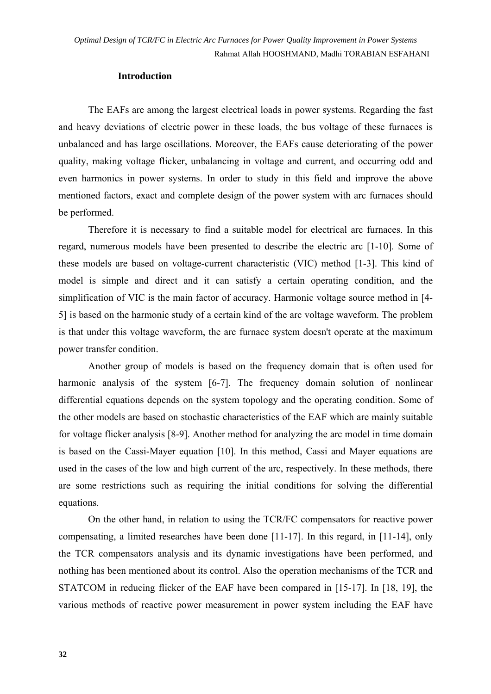## **Introduction**

The EAFs are among the largest electrical loads in power systems. Regarding the fast and heavy deviations of electric power in these loads, the bus voltage of these furnaces is unbalanced and has large oscillations. Moreover, the EAFs cause deteriorating of the power quality, making voltage flicker, unbalancing in voltage and current, and occurring odd and even harmonics in power systems. In order to study in this field and improve the above mentioned factors, exact and complete design of the power system with arc furnaces should be performed.

Therefore it is necessary to find a suitable model for electrical arc furnaces. In this regard, numerous models have been presented to describe the electric arc [1-10]. Some of these models are based on voltage-current characteristic (VIC) method [1-3]. This kind of model is simple and direct and it can satisfy a certain operating condition, and the simplification of VIC is the main factor of accuracy. Harmonic voltage source method in [4- 5] is based on the harmonic study of a certain kind of the arc voltage waveform. The problem is that under this voltage waveform, the arc furnace system doesn't operate at the maximum power transfer condition.

Another group of models is based on the frequency domain that is often used for harmonic analysis of the system [6-7]. The frequency domain solution of nonlinear differential equations depends on the system topology and the operating condition. Some of the other models are based on stochastic characteristics of the EAF which are mainly suitable for voltage flicker analysis [8-9]. Another method for analyzing the arc model in time domain is based on the Cassi-Mayer equation [10]. In this method, Cassi and Mayer equations are used in the cases of the low and high current of the arc, respectively. In these methods, there are some restrictions such as requiring the initial conditions for solving the differential equations.

On the other hand, in relation to using the TCR/FC compensators for reactive power compensating, a limited researches have been done [11-17]. In this regard, in [11-14], only the TCR compensators analysis and its dynamic investigations have been performed, and nothing has been mentioned about its control. Also the operation mechanisms of the TCR and STATCOM in reducing flicker of the EAF have been compared in [15-17]. In [18, 19], the various methods of reactive power measurement in power system including the EAF have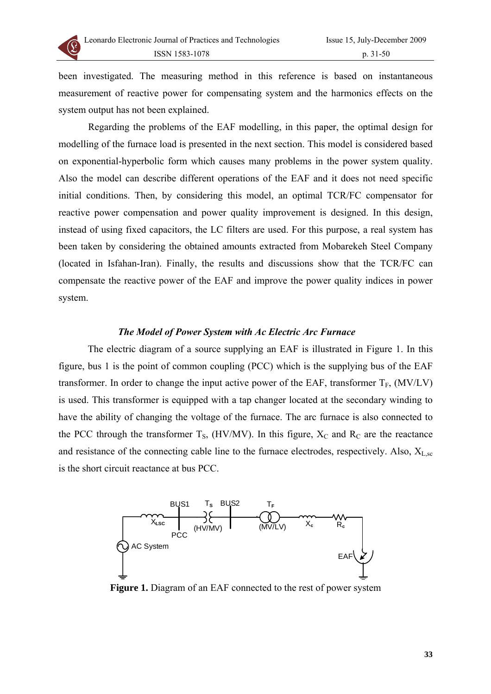

been investigated. The measuring method in this reference is based on instantaneous measurement of reactive power for compensating system and the harmonics effects on the system output has not been explained.

Regarding the problems of the EAF modelling, in this paper, the optimal design for modelling of the furnace load is presented in the next section. This model is considered based on exponential-hyperbolic form which causes many problems in the power system quality. Also the model can describe different operations of the EAF and it does not need specific initial conditions. Then, by considering this model, an optimal TCR/FC compensator for reactive power compensation and power quality improvement is designed. In this design, instead of using fixed capacitors, the LC filters are used. For this purpose, a real system has been taken by considering the obtained amounts extracted from Mobarekeh Steel Company (located in Isfahan-Iran). Finally, the results and discussions show that the TCR/FC can compensate the reactive power of the EAF and improve the power quality indices in power system.

#### *The Model of Power System with Ac Electric Arc Furnace*

The electric diagram of a source supplying an EAF is illustrated in Figure 1. In this figure, bus 1 is the point of common coupling (PCC) which is the supplying bus of the EAF transformer. In order to change the input active power of the EAF, transformer  $T_F$ , (MV/LV) is used. This transformer is equipped with a tap changer located at the secondary winding to have the ability of changing the voltage of the furnace. The arc furnace is also connected to the PCC through the transformer  $T_s$ , (HV/MV). In this figure,  $X_c$  and  $R_c$  are the reactance and resistance of the connecting cable line to the furnace electrodes, respectively. Also,  $X_{L,sc}$ is the short circuit reactance at bus PCC.



**Figure 1.** Diagram of an EAF connected to the rest of power system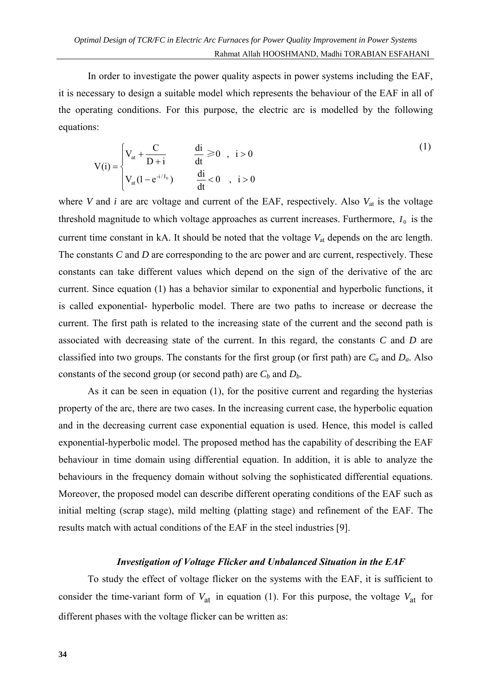In order to investigate the power quality aspects in power systems including the EAF, it is necessary to design a suitable model which represents the behaviour of the EAF in all of the operating conditions. For this purpose, the electric arc is modelled by the following equations:

$$
V(i) = \begin{cases} V_{at} + \frac{C}{D+i} & \frac{di}{dt} \ge 0, i > 0 \\ V_{at}(1 - e^{-i/l_0}) & \frac{di}{dt} < 0, i > 0 \end{cases}
$$
 (1)

where *V* and *i* are arc voltage and current of the EAF, respectively. Also  $V_{at}$  is the voltage threshold magnitude to which voltage approaches as current increases. Furthermore,  $I_0$  is the current time constant in kA. It should be noted that the voltage *V*at depends on the arc length. The constants *C* and *D* are corresponding to the arc power and arc current, respectively. These constants can take different values which depend on the sign of the derivative of the arc current. Since equation (1) has a behavior similar to exponential and hyperbolic functions, it is called exponential- hyperbolic model. There are two paths to increase or decrease the current. The first path is related to the increasing state of the current and the second path is associated with decreasing state of the current. In this regard, the constants *C* and *D* are classified into two groups. The constants for the first group (or first path) are *Ca* and *Da*. Also constants of the second group (or second path) are  $C_b$  and  $D_b$ .

As it can be seen in equation (1), for the positive current and regarding the hysterias property of the arc, there are two cases. In the increasing current case, the hyperbolic equation and in the decreasing current case exponential equation is used. Hence, this model is called exponential-hyperbolic model. The proposed method has the capability of describing the EAF behaviour in time domain using differential equation. In addition, it is able to analyze the behaviours in the frequency domain without solving the sophisticated differential equations. Moreover, the proposed model can describe different operating conditions of the EAF such as initial melting (scrap stage), mild melting (platting stage) and refinement of the EAF. The results match with actual conditions of the EAF in the steel industries [9].

## *Investigation of Voltage Flicker and Unbalanced Situation in the EAF*

To study the effect of voltage flicker on the systems with the EAF, it is sufficient to consider the time-variant form of  $V_{at}$  in equation (1). For this purpose, the voltage  $V_{at}$  for different phases with the voltage flicker can be written as: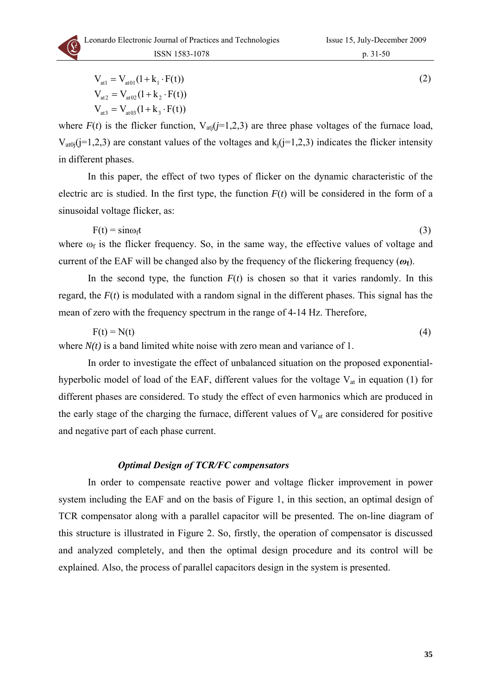$$
V_{at1} = V_{at01}(1 + k_1 \cdot F(t))
$$
  
\n
$$
V_{at2} = V_{at02}(1 + k_2 \cdot F(t))
$$
  
\n
$$
V_{at3} = V_{at03}(1 + k_3 \cdot F(t))
$$
\n(2)

where  $F(t)$  is the flicker function,  $V_{\text{ati}}(j=1,2,3)$  are three phase voltages of the furnace load,  $V_{\text{at0i}}(j=1,2,3)$  are constant values of the voltages and  $k_i(j=1,2,3)$  indicates the flicker intensity in different phases.

In this paper, the effect of two types of flicker on the dynamic characteristic of the electric arc is studied. In the first type, the function  $F(t)$  will be considered in the form of a sinusoidal voltage flicker, as:

 $F(t) = \sin \omega_1 t$  (3) where  $\omega_f$  is the flicker frequency. So, in the same way, the effective values of voltage and current of the EAF will be changed also by the frequency of the flickering frequency (*ω***f**).

In the second type, the function  $F(t)$  is chosen so that it varies randomly. In this regard, the *F*(*t*) is modulated with a random signal in the different phases. This signal has the mean of zero with the frequency spectrum in the range of 4-14 Hz. Therefore,

$$
F(t) = N(t) \tag{4}
$$

where  $N(t)$  is a band limited white noise with zero mean and variance of 1.

In order to investigate the effect of unbalanced situation on the proposed exponentialhyperbolic model of load of the EAF, different values for the voltage  $V_{at}$  in equation (1) for different phases are considered. To study the effect of even harmonics which are produced in the early stage of the charging the furnace, different values of  $V_{at}$  are considered for positive and negative part of each phase current.

#### *Optimal Design of TCR/FC compensators*

In order to compensate reactive power and voltage flicker improvement in power system including the EAF and on the basis of Figure 1, in this section, an optimal design of TCR compensator along with a parallel capacitor will be presented. The on-line diagram of this structure is illustrated in Figure 2. So, firstly, the operation of compensator is discussed and analyzed completely, and then the optimal design procedure and its control will be explained. Also, the process of parallel capacitors design in the system is presented.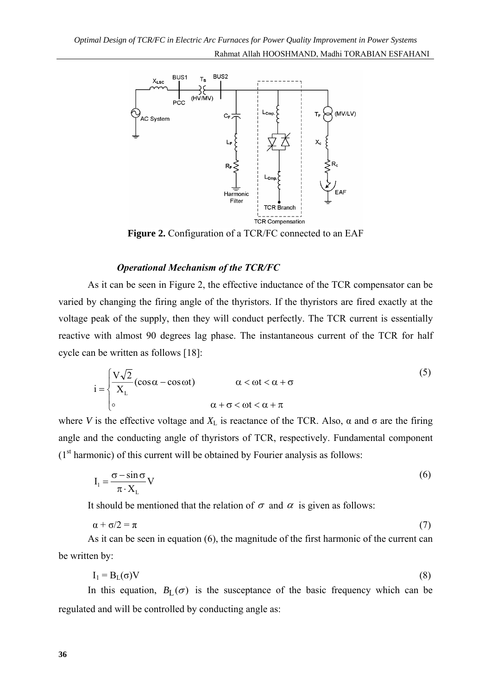

**Figure 2.** Configuration of a TCR/FC connected to an EAF

# *Operational Mechanism of the TCR/FC*

As it can be seen in Figure 2, the effective inductance of the TCR compensator can be varied by changing the firing angle of the thyristors. If the thyristors are fired exactly at the voltage peak of the supply, then they will conduct perfectly. The TCR current is essentially reactive with almost 90 degrees lag phase. The instantaneous current of the TCR for half cycle can be written as follows [18]:

$$
i = \begin{cases} \frac{V\sqrt{2}}{X_L}(\cos\alpha - \cos\omega t) & \alpha < \omega + \sigma \\ 0 & \alpha + \sigma < \omega t < \alpha + \pi \end{cases}
$$
(5)

where *V* is the effective voltage and  $X_L$  is reactance of the TCR. Also,  $\alpha$  and  $\sigma$  are the firing angle and the conducting angle of thyristors of TCR, respectively. Fundamental component  $(1<sup>st</sup> harmonic)$  of this current will be obtained by Fourier analysis as follows:

$$
I_1 = \frac{\sigma - \sin \sigma}{\pi \cdot X_L} V
$$
 (6)

It should be mentioned that the relation of  $\sigma$  and  $\alpha$  is given as follows:

$$
\alpha + \sigma/2 = \pi \tag{7}
$$

As it can be seen in equation (6), the magnitude of the first harmonic of the current can be written by:

$$
I_1 = B_L(\sigma)V \tag{8}
$$

In this equation,  $B_L(\sigma)$  is the susceptance of the basic frequency which can be regulated and will be controlled by conducting angle as: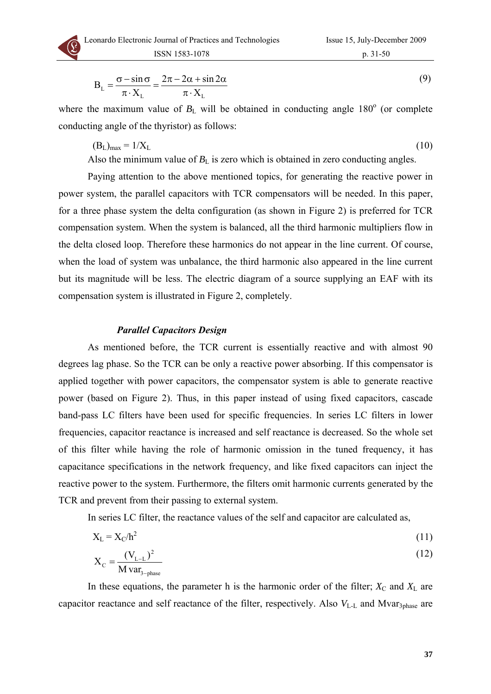

$$
B_{L} = \frac{\sigma - \sin \sigma}{\pi \cdot X_{L}} = \frac{2\pi - 2\alpha + \sin 2\alpha}{\pi \cdot X_{L}}
$$
(9)

where the maximum value of  $B_L$  will be obtained in conducting angle  $180^\circ$  (or complete conducting angle of the thyristor) as follows:

 $(B_L)_{max} = 1/X_L$  (10)

Also the minimum value of  $B_L$  is zero which is obtained in zero conducting angles.

Paying attention to the above mentioned topics, for generating the reactive power in power system, the parallel capacitors with TCR compensators will be needed. In this paper, for a three phase system the delta configuration (as shown in Figure 2) is preferred for TCR compensation system. When the system is balanced, all the third harmonic multipliers flow in the delta closed loop. Therefore these harmonics do not appear in the line current. Of course, when the load of system was unbalance, the third harmonic also appeared in the line current but its magnitude will be less. The electric diagram of a source supplying an EAF with its compensation system is illustrated in Figure 2, completely.

# *Parallel Capacitors Design*

As mentioned before, the TCR current is essentially reactive and with almost 90 degrees lag phase. So the TCR can be only a reactive power absorbing. If this compensator is applied together with power capacitors, the compensator system is able to generate reactive power (based on Figure 2). Thus, in this paper instead of using fixed capacitors, cascade band-pass LC filters have been used for specific frequencies. In series LC filters in lower frequencies, capacitor reactance is increased and self reactance is decreased. So the whole set of this filter while having the role of harmonic omission in the tuned frequency, it has capacitance specifications in the network frequency, and like fixed capacitors can inject the reactive power to the system. Furthermore, the filters omit harmonic currents generated by the TCR and prevent from their passing to external system.

In series LC filter, the reactance values of the self and capacitor are calculated as,

$$
X_{L} = X_{C}/h^{2}
$$
 (11)

$$
X_{\rm C} = \frac{(V_{\rm L-L})^2}{M \text{ var}_{3-\text{phase}}}
$$
 (12)

In these equations, the parameter h is the harmonic order of the filter;  $X_C$  and  $X_L$  are capacitor reactance and self reactance of the filter, respectively. Also  $V_{L-L}$  and Mvar<sub>3phase</sub> are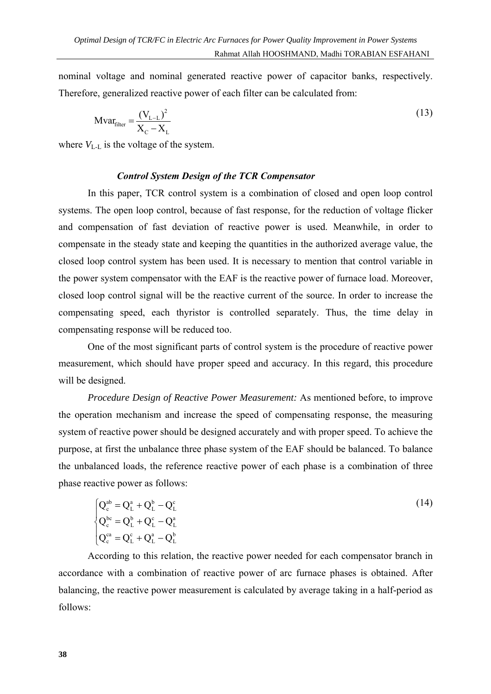nominal voltage and nominal generated reactive power of capacitor banks, respectively. Therefore, generalized reactive power of each filter can be calculated from:

$$
Mvar_{filter} = \frac{(V_{L-L})^2}{X_C - X_L}
$$
 (13)

where  $V_{L-L}$  is the voltage of the system.

## *Control System Design of the TCR Compensator*

In this paper, TCR control system is a combination of closed and open loop control systems. The open loop control, because of fast response, for the reduction of voltage flicker and compensation of fast deviation of reactive power is used. Meanwhile, in order to compensate in the steady state and keeping the quantities in the authorized average value, the closed loop control system has been used. It is necessary to mention that control variable in the power system compensator with the EAF is the reactive power of furnace load. Moreover, closed loop control signal will be the reactive current of the source. In order to increase the compensating speed, each thyristor is controlled separately. Thus, the time delay in compensating response will be reduced too.

One of the most significant parts of control system is the procedure of reactive power measurement, which should have proper speed and accuracy. In this regard, this procedure will be designed.

*Procedure Design of Reactive Power Measurement:* As mentioned before, to improve the operation mechanism and increase the speed of compensating response, the measuring system of reactive power should be designed accurately and with proper speed. To achieve the purpose, at first the unbalance three phase system of the EAF should be balanced. To balance the unbalanced loads, the reference reactive power of each phase is a combination of three phase reactive power as follows:

$$
\begin{cases}\nQ_c^{ab} = Q_L^a + Q_L^b - Q_L^c \\
Q_c^{bc} = Q_L^b + Q_L^c - Q_L^a \\
Q_c^{ca} = Q_L^c + Q_L^a - Q_L^b\n\end{cases}
$$
\n(14)

According to this relation, the reactive power needed for each compensator branch in accordance with a combination of reactive power of arc furnace phases is obtained. After balancing, the reactive power measurement is calculated by average taking in a half-period as follows: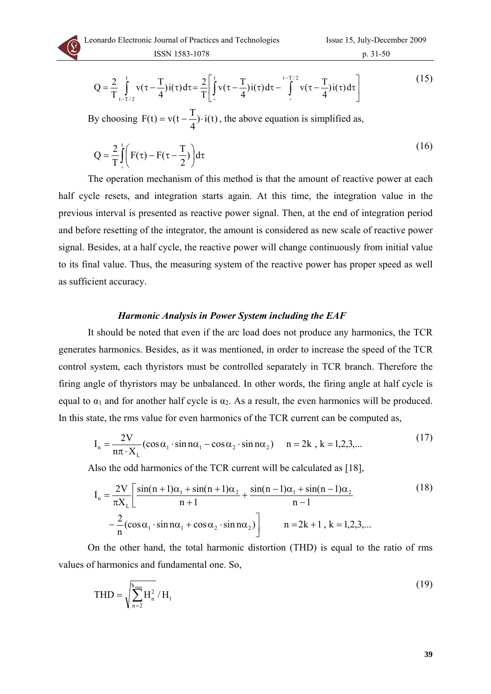

$$
Q = \frac{2}{T} \int_{t-T/2}^{t} v(\tau - \frac{T}{4}) i(\tau) d\tau = \frac{2}{T} \left[ \int_{0}^{t} v(\tau - \frac{T}{4}) i(\tau) d\tau - \int_{0}^{t-T/2} v(\tau - \frac{T}{4}) i(\tau) d\tau \right]
$$
(15)

By choosing  $F(t) = v(t - \frac{T}{4}) \cdot i(t)$ , the above equation is simplified as,

$$
Q = \frac{2}{T} \int_{0}^{t} \left( F(\tau) - F(\tau - \frac{T}{2}) \right) d\tau
$$
\n(16)

The operation mechanism of this method is that the amount of reactive power at each half cycle resets, and integration starts again. At this time, the integration value in the previous interval is presented as reactive power signal. Then, at the end of integration period and before resetting of the integrator, the amount is considered as new scale of reactive power signal. Besides, at a half cycle, the reactive power will change continuously from initial value to its final value. Thus, the measuring system of the reactive power has proper speed as well as sufficient accuracy.

#### *Harmonic Analysis in Power System including the EAF*

It should be noted that even if the arc load does not produce any harmonics, the TCR generates harmonics. Besides, as it was mentioned, in order to increase the speed of the TCR control system, each thyristors must be controlled separately in TCR branch. Therefore the firing angle of thyristors may be unbalanced. In other words, the firing angle at half cycle is equal to  $\alpha_1$  and for another half cycle is  $\alpha_2$ . As a result, the even harmonics will be produced. In this state, the rms value for even harmonics of the TCR current can be computed as,

$$
I_n = \frac{2V}{n\pi \cdot X_L} (\cos \alpha_1 \cdot \sin n\alpha_1 - \cos \alpha_2 \cdot \sin n\alpha_2) \quad n = 2k, k = 1, 2, 3, \dots
$$
 (17)

Also the odd harmonics of the TCR current will be calculated as [18],

$$
I_{n} = \frac{2V}{\pi X_{L}} \left[ \frac{\sin(n+1)\alpha_{1} + \sin(n+1)\alpha_{2}}{n+1} + \frac{\sin(n-1)\alpha_{1} + \sin(n-1)\alpha_{2}}{n-1} - \frac{2}{n}(\cos\alpha_{1} \cdot \sin n\alpha_{1} + \cos\alpha_{2} \cdot \sin n\alpha_{2}) \right]
$$
(18)

On the other hand, the total harmonic distortion (THD) is equal to the ratio of rms values of harmonics and fundamental one. So,

$$
THD = \sqrt{\sum_{n=2}^{\text{h}_{\text{max}}} H_n^2} / H_1
$$
 (19)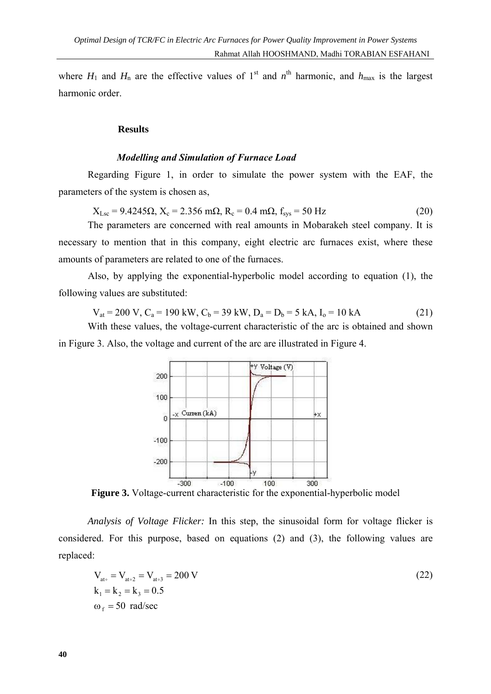where  $H_1$  and  $H_n$  are the effective values of 1<sup>st</sup> and  $n<sup>th</sup>$  harmonic, and  $h_{\text{max}}$  is the largest harmonic order.

#### **Results**

#### *Modelling and Simulation of Furnace Load*

Regarding Figure 1, in order to simulate the power system with the EAF, the parameters of the system is chosen as,

 $X_{Lsc} = 9.4245 \Omega$ ,  $X_c = 2.356$  m $\Omega$ ,  $R_c = 0.4$  m $\Omega$ ,  $f_{sys} = 50$  Hz (20)

The parameters are concerned with real amounts in Mobarakeh steel company. It is necessary to mention that in this company, eight electric arc furnaces exist, where these amounts of parameters are related to one of the furnaces.

Also, by applying the exponential-hyperbolic model according to equation (1), the following values are substituted:

$$
V_{at} = 200 V, C_a = 190 kW, C_b = 39 kW, D_a = D_b = 5 kA, I_o = 10 kA
$$
 (21)

With these values, the voltage-current characteristic of the arc is obtained and shown in Figure 3. Also, the voltage and current of the arc are illustrated in Figure 4.



**Figure 3.** Voltage-current characteristic for the exponential-hyperbolic model

*Analysis of Voltage Flicker:* In this step, the sinusoidal form for voltage flicker is considered. For this purpose, based on equations (2) and (3), the following values are replaced:

$$
V_{at_0} = V_{at_0 2} = V_{at_0 3} = 200 V
$$
  
\n
$$
k_1 = k_2 = k_3 = 0.5
$$
  
\n
$$
\omega_f = 50 \text{ rad/sec}
$$
 (22)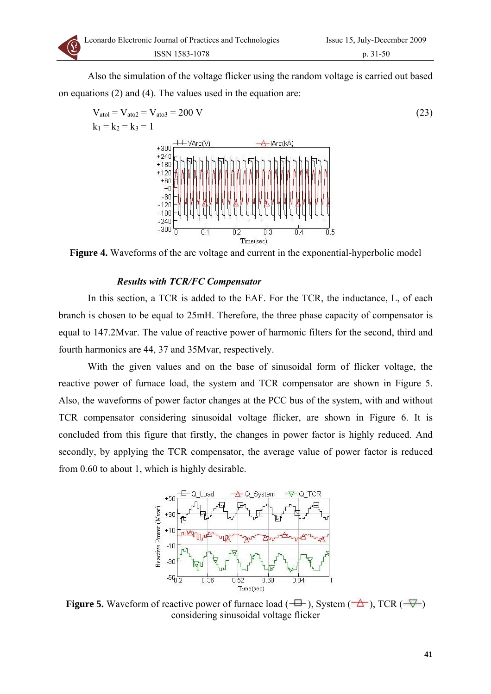Also the simulation of the voltage flicker using the random voltage is carried out based on equations (2) and (4). The values used in the equation are:

$$
V_{atol} = V_{atol} = V_{atol} = 200 V
$$
\n
$$
k_1 = k_2 = k_3 = 1
$$
\n
$$
V_{atol} = V_{atol} = 1
$$
\n
$$
V_{atol} = V_{atol} = V_{atol}
$$
\n
$$
V_{atol} = V_{atol}
$$
\n
$$
V_{atol} = V_{atol}
$$
\n
$$
V_{atol} = V_{atol}
$$
\n
$$
V_{atol} = V_{atol}
$$
\n
$$
V_{atol} = V_{atol}
$$
\n
$$
V_{atol} = V_{atol}
$$
\n
$$
V_{atol} = V_{atol}
$$
\n
$$
V_{atol} = V_{atol}
$$
\n
$$
V_{atol} = V_{atol}
$$
\n
$$
V_{atol} = V_{atol}
$$
\n
$$
V_{atol} = V_{atol}
$$
\n
$$
V_{atol} = V_{atol}
$$
\n
$$
V_{atol} = V_{atol}
$$
\n
$$
V_{atol} = V_{atol}
$$
\n
$$
V_{atol} = V_{atol}
$$
\n
$$
V_{atol} = V_{atol}
$$
\n
$$
V_{atol} = V_{atol}
$$
\n
$$
V_{atol} = V_{atol}
$$
\n
$$
V_{atol} = V_{atol}
$$
\n
$$
V_{atol} = V_{atol}
$$
\n
$$
V_{atol} = V_{atol}
$$
\n
$$
V_{atol} = V_{atol}
$$
\n
$$
V_{atol} = V_{atol}
$$
\n
$$
V_{atol} = V_{atol}
$$
\n
$$
V_{atol} = V_{atol}
$$
\n
$$
V_{atol} = V_{atol}
$$
\n
$$
V_{atol} = V_{atol}
$$
\n
$$
V_{atol} = V_{atol}
$$
\n
$$
V_{atol} = V_{atol}
$$
\n
$$
V_{atol} = V_{atol}
$$
\n
$$
V_{atol} = V_{atol}
$$
\n
$$
V_{atol} = V_{atol}
$$
\n
$$
V_{atol} = V_{atol}
$$

**Figure 4.** Waveforms of the arc voltage and current in the exponential-hyperbolic model

# *Results with TCR/FC Compensator*

In this section, a TCR is added to the EAF. For the TCR, the inductance, L, of each branch is chosen to be equal to 25mH. Therefore, the three phase capacity of compensator is equal to 147.2Mvar. The value of reactive power of harmonic filters for the second, third and fourth harmonics are 44, 37 and 35Mvar, respectively.

With the given values and on the base of sinusoidal form of flicker voltage, the reactive power of furnace load, the system and TCR compensator are shown in Figure 5. Also, the waveforms of power factor changes at the PCC bus of the system, with and without TCR compensator considering sinusoidal voltage flicker, are shown in Figure 6. It is concluded from this figure that firstly, the changes in power factor is highly reduced. And secondly, by applying the TCR compensator, the average value of power factor is reduced from 0.60 to about 1, which is highly desirable.



**Figure 5.** Waveform of reactive power of furnace load  $(\overline{\Box})$ , System  $(\overline{\Diamond})$ , TCR  $(\overline{\Diamond})$ considering sinusoidal voltage flicker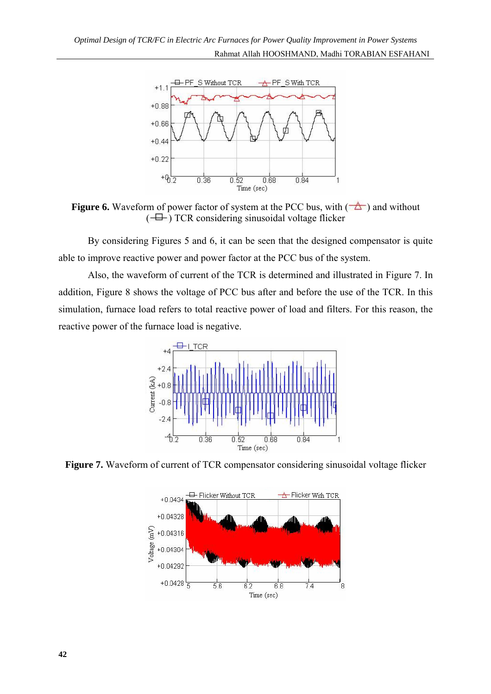

**Figure 6.** Waveform of power factor of system at the PCC bus, with  $(\triangle)$  and without  $(\overline{\Box}$ ) TCR considering sinusoidal voltage flicker

By considering Figures 5 and 6, it can be seen that the designed compensator is quite able to improve reactive power and power factor at the PCC bus of the system.

Also, the waveform of current of the TCR is determined and illustrated in Figure 7. In addition, Figure 8 shows the voltage of PCC bus after and before the use of the TCR. In this simulation, furnace load refers to total reactive power of load and filters. For this reason, the reactive power of the furnace load is negative.



**Figure 7.** Waveform of current of TCR compensator considering sinusoidal voltage flicker

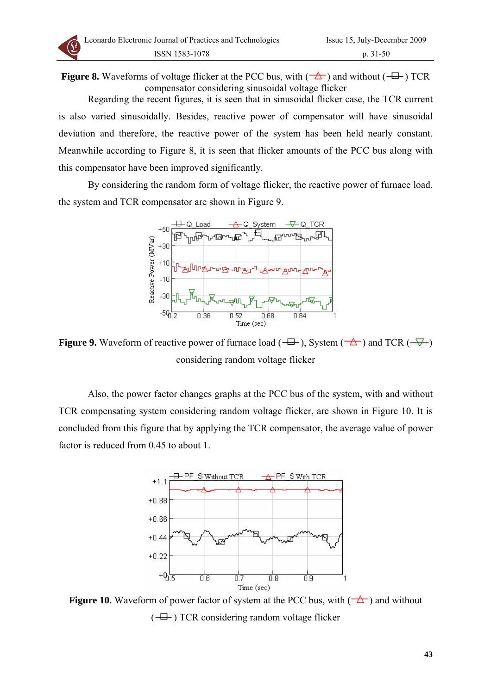**Figure 8.** Waveforms of voltage flicker at the PCC bus, with  $(\overrightarrow{)}$  and without  $(\overrightarrow{+})$  TCR compensator considering sinusoidal voltage flicker

Regarding the recent figures, it is seen that in sinusoidal flicker case, the TCR current is also varied sinusoidally. Besides, reactive power of compensator will have sinusoidal deviation and therefore, the reactive power of the system has been held nearly constant. Meanwhile according to Figure 8, it is seen that flicker amounts of the PCC bus along with this compensator have been improved significantly.

By considering the random form of voltage flicker, the reactive power of furnace load, the system and TCR compensator are shown in Figure 9.



**Figure 9.** Waveform of reactive power of furnace load  $(\overline{\Box})$ , System  $(\overline{\triangle})$  and TCR  $(\overline{\vee})$ considering random voltage flicker

Also, the power factor changes graphs at the PCC bus of the system, with and without TCR compensating system considering random voltage flicker, are shown in Figure 10. It is concluded from this figure that by applying the TCR compensator, the average value of power factor is reduced from 0.45 to about 1.



**Figure 10.** Waveform of power factor of system at the PCC bus, with  $(\triangle)$  and without  $\left( \begin{array}{c} \pm \end{array} \right)$  TCR considering random voltage flicker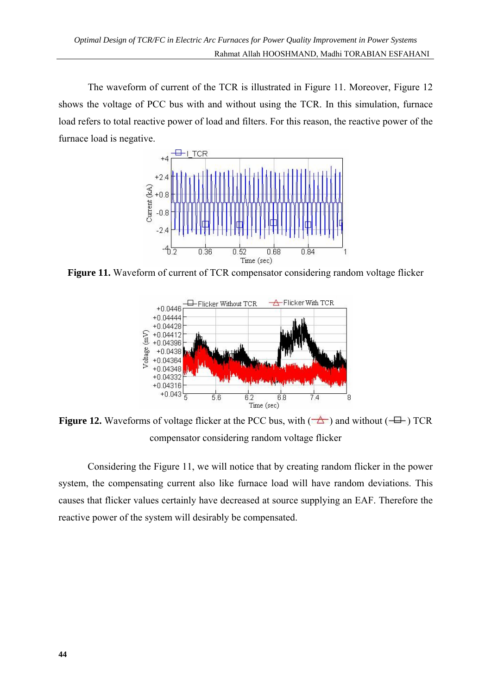The waveform of current of the TCR is illustrated in Figure 11. Moreover, Figure 12 shows the voltage of PCC bus with and without using the TCR. In this simulation, furnace load refers to total reactive power of load and filters. For this reason, the reactive power of the furnace load is negative.



**Figure 11.** Waveform of current of TCR compensator considering random voltage flicker



**Figure 12.** Waveforms of voltage flicker at the PCC bus, with  $(\overrightarrow{)}$  and without  $(\overrightarrow{+})$  TCR compensator considering random voltage flicker

Considering the Figure 11, we will notice that by creating random flicker in the power system, the compensating current also like furnace load will have random deviations. This causes that flicker values certainly have decreased at source supplying an EAF. Therefore the reactive power of the system will desirably be compensated.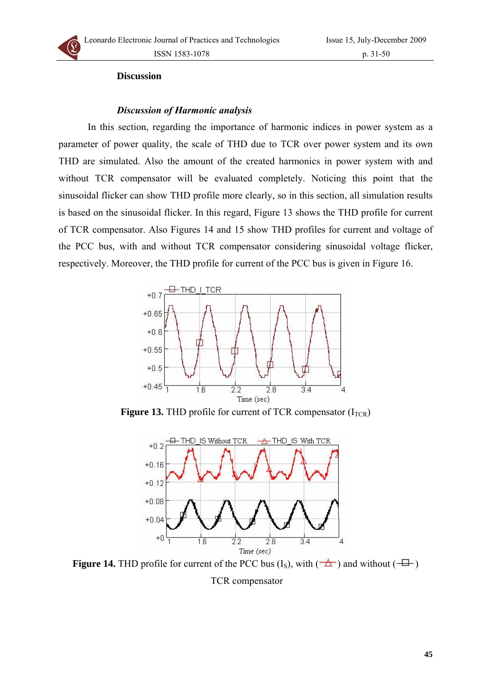#### **Discussion**

#### *Discussion of Harmonic analysis*

In this section, regarding the importance of harmonic indices in power system as a parameter of power quality, the scale of THD due to TCR over power system and its own THD are simulated. Also the amount of the created harmonics in power system with and without TCR compensator will be evaluated completely. Noticing this point that the sinusoidal flicker can show THD profile more clearly, so in this section, all simulation results is based on the sinusoidal flicker. In this regard, Figure 13 shows the THD profile for current of TCR compensator. Also Figures 14 and 15 show THD profiles for current and voltage of the PCC bus, with and without TCR compensator considering sinusoidal voltage flicker, respectively. Moreover, the THD profile for current of the PCC bus is given in Figure 16.



**Figure 13.** THD profile for current of TCR compensator  $(I_{TCR})$ 



**Figure 14.** THD profile for current of the PCC bus  $(I_S)$ , with  $(\overrightarrow{)}$  and without  $(\overrightarrow{+})$ TCR compensator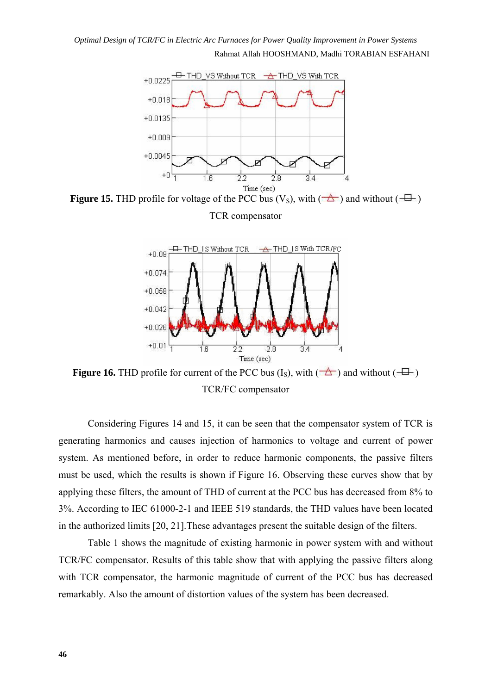

**Figure 15.** THD profile for voltage of the PCC bus  $(V<sub>S</sub>)$ , with  $(\overrightarrow{2})$  and without  $(\overrightarrow{+})$ TCR compensator



**Figure 16.** THD profile for current of the PCC bus  $(I_S)$ , with  $(\overrightarrow{)}$  and without  $(\overrightarrow{+})$ TCR/FC compensator

Considering Figures 14 and 15, it can be seen that the compensator system of TCR is generating harmonics and causes injection of harmonics to voltage and current of power system. As mentioned before, in order to reduce harmonic components, the passive filters must be used, which the results is shown if Figure 16. Observing these curves show that by applying these filters, the amount of THD of current at the PCC bus has decreased from 8% to 3%. According to IEC 61000-2-1 and IEEE 519 standards, the THD values have been located in the authorized limits [20, 21]. These advantages present the suitable design of the filters.

Table 1 shows the magnitude of existing harmonic in power system with and without TCR/FC compensator. Results of this table show that with applying the passive filters along with TCR compensator, the harmonic magnitude of current of the PCC bus has decreased remarkably. Also the amount of distortion values of the system has been decreased.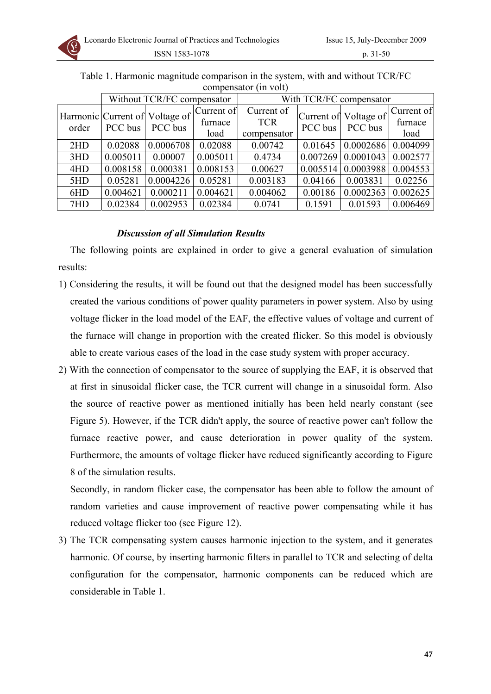

|       | Without TCR/FC compensator |                                           |                               | With TCR/FC compensator                 |         |                                  |                               |
|-------|----------------------------|-------------------------------------------|-------------------------------|-----------------------------------------|---------|----------------------------------|-------------------------------|
| order | PCC bus                    | Harmonic Current of Voltage of<br>PCC bus | Current of<br>furnace<br>load | Current of<br><b>TCR</b><br>compensator | PCC bus | Current of Voltage of<br>PCC bus | Current of<br>furnace<br>load |
| 2HD   | 0.02088                    | 0.0006708                                 | 0.02088                       | 0.00742                                 | 0.01645 | 0.0002686                        | 0.004099                      |
| 3HD   | 0.005011                   | 0.00007                                   | 0.005011                      | 0.4734                                  |         | $0.007269 \mid 0.0001043$        | 0.002577                      |
| 4HD   | 0.008158                   | 0.000381                                  | 0.008153                      | 0.00627                                 |         | $0.005514$   0.0003988           | 0.004553                      |
| 5HD   | 0.05281                    | 0.0004226                                 | 0.05281                       | 0.003183                                | 0.04166 | 0.003831                         | 0.02256                       |
| 6HD   | 0.004621                   | 0.000211                                  | 0.004621                      | 0.004062                                | 0.00186 | 0.0002363                        | 0.002625                      |
| 7HD   | 0.02384                    | 0.002953                                  | 0.02384                       | 0.0741                                  | 0.1591  | 0.01593                          | 0.006469                      |

Table 1. Harmonic magnitude comparison in the system, with and without TCR/FC compensator (in volt)

# *Discussion of all Simulation Results*

The following points are explained in order to give a general evaluation of simulation results:

- 1) Considering the results, it will be found out that the designed model has been successfully created the various conditions of power quality parameters in power system. Also by using voltage flicker in the load model of the EAF, the effective values of voltage and current of the furnace will change in proportion with the created flicker. So this model is obviously able to create various cases of the load in the case study system with proper accuracy.
- 2) With the connection of compensator to the source of supplying the EAF, it is observed that at first in sinusoidal flicker case, the TCR current will change in a sinusoidal form. Also the source of reactive power as mentioned initially has been held nearly constant (see Figure 5). However, if the TCR didn't apply, the source of reactive power can't follow the furnace reactive power, and cause deterioration in power quality of the system. Furthermore, the amounts of voltage flicker have reduced significantly according to Figure 8 of the simulation results.

Secondly, in random flicker case, the compensator has been able to follow the amount of random varieties and cause improvement of reactive power compensating while it has reduced voltage flicker too (see Figure 12).

3) The TCR compensating system causes harmonic injection to the system, and it generates harmonic. Of course, by inserting harmonic filters in parallel to TCR and selecting of delta configuration for the compensator, harmonic components can be reduced which are considerable in Table 1.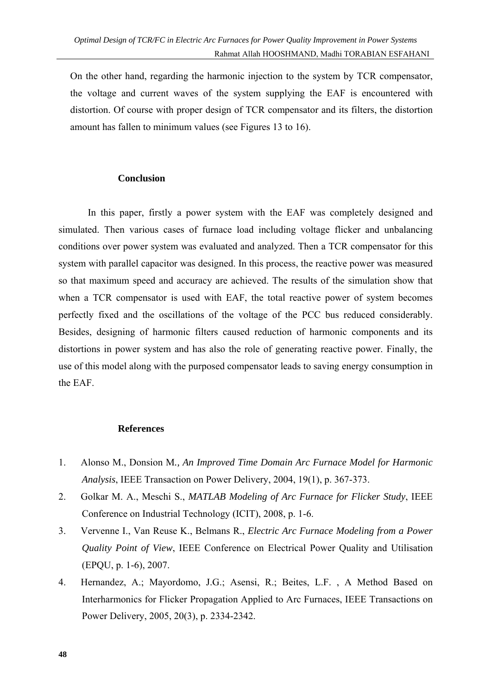On the other hand, regarding the harmonic injection to the system by TCR compensator, the voltage and current waves of the system supplying the EAF is encountered with distortion. Of course with proper design of TCR compensator and its filters, the distortion amount has fallen to minimum values (see Figures 13 to 16).

# **Conclusion**

In this paper, firstly a power system with the EAF was completely designed and simulated. Then various cases of furnace load including voltage flicker and unbalancing conditions over power system was evaluated and analyzed. Then a TCR compensator for this system with parallel capacitor was designed. In this process, the reactive power was measured so that maximum speed and accuracy are achieved. The results of the simulation show that when a TCR compensator is used with EAF, the total reactive power of system becomes perfectly fixed and the oscillations of the voltage of the PCC bus reduced considerably. Besides, designing of harmonic filters caused reduction of harmonic components and its distortions in power system and has also the role of generating reactive power. Finally, the use of this model along with the purposed compensator leads to saving energy consumption in the EAF.

## **References**

- 1. Alonso M., Donsion M*., An Improved Time Domain Arc Furnace Model for Harmonic Analysis*, IEEE Transaction on Power Delivery, 2004, 19(1), p. 367-373.
- 2. Golkar M. A., Meschi S., *MATLAB Modeling of Arc Furnace for Flicker Study*, IEEE Conference on Industrial Technology (ICIT), 2008, p. 1-6.
- 3. Vervenne I., Van Reuse K., Belmans R., *Electric Arc Furnace Modeling from a Power Quality Point of View*, IEEE Conference on Electrical Power Quality and Utilisation (EPQU, p. 1-6), 2007.
- 4. Hernandez, A.; Mayordomo, J.G.; Asensi, R.; Beites, L.F. , A Method Based on Interharmonics for Flicker Propagation Applied to Arc Furnaces, IEEE Transactions on Power Delivery, 2005, 20(3), p. 2334-2342.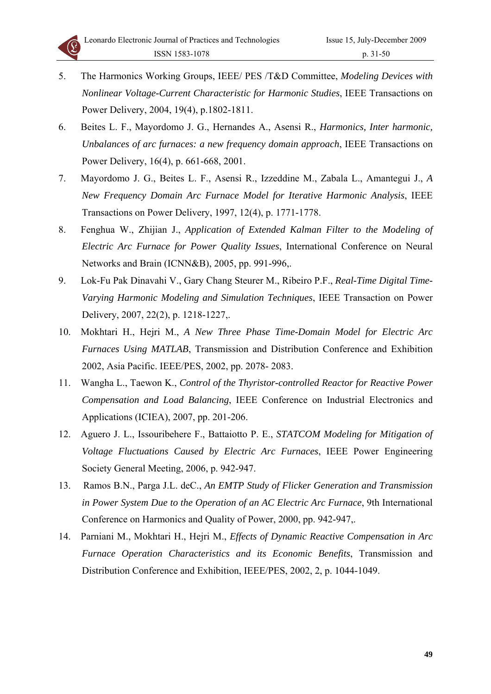

- 5. The Harmonics Working Groups, IEEE/ PES /T&D Committee, *Modeling Devices with Nonlinear Voltage-Current Characteristic for Harmonic Studies*, IEEE Transactions on Power Delivery, 2004, 19(4), p.1802-1811.
- 6. Beites L. F., Mayordomo J. G., Hernandes A., Asensi R., *Harmonics, Inter harmonic, Unbalances of arc furnaces: a new frequency domain approach*, IEEE Transactions on Power Delivery, 16(4), p. 661-668, 2001.
- 7. Mayordomo J. G., Beites L. F., Asensi R., Izzeddine M., Zabala L., Amantegui J., *A New Frequency Domain Arc Furnace Model for Iterative Harmonic Analysis*, IEEE Transactions on Power Delivery, 1997, 12(4), p. 1771-1778.
- 8. Fenghua W., Zhijian J., *Application of Extended Kalman Filter to the Modeling of Electric Arc Furnace for Power Quality Issues*, International Conference on Neural Networks and Brain (ICNN&B), 2005, pp. 991-996,.
- 9. Lok-Fu Pak Dinavahi V., Gary Chang Steurer M., Ribeiro P.F., *Real-Time Digital Time-Varying Harmonic Modeling and Simulation Techniques*, IEEE Transaction on Power Delivery, 2007, 22(2), p. 1218-1227,.
- 10. Mokhtari H., Hejri M., *A New Three Phase Time-Domain Model for Electric Arc Furnaces Using MATLAB*, Transmission and Distribution Conference and Exhibition 2002, Asia Pacific. IEEE/PES, 2002, pp. 2078- 2083.
- 11. Wangha L., Taewon K., *Control of the Thyristor-controlled Reactor for Reactive Power Compensation and Load Balancing*, IEEE Conference on Industrial Electronics and Applications (ICIEA), 2007, pp. 201-206.
- 12. Aguero J. L., Issouribehere F., Battaiotto P. E., *STATCOM Modeling for Mitigation of Voltage Fluctuations Caused by Electric Arc Furnaces*, IEEE Power Engineering Society General Meeting, 2006, p. 942-947.
- 13. Ramos B.N., Parga J.L. deC., *An EMTP Study of Flicker Generation and Transmission in Power System Due to the Operation of an AC Electric Arc Furnace*, 9th International Conference on Harmonics and Quality of Power, 2000, pp. 942-947,.
- 14. Parniani M., Mokhtari H., Hejri M., *Effects of Dynamic Reactive Compensation in Arc Furnace Operation Characteristics and its Economic Benefits*, Transmission and Distribution Conference and Exhibition, IEEE/PES, 2002, 2, p. 1044-1049.